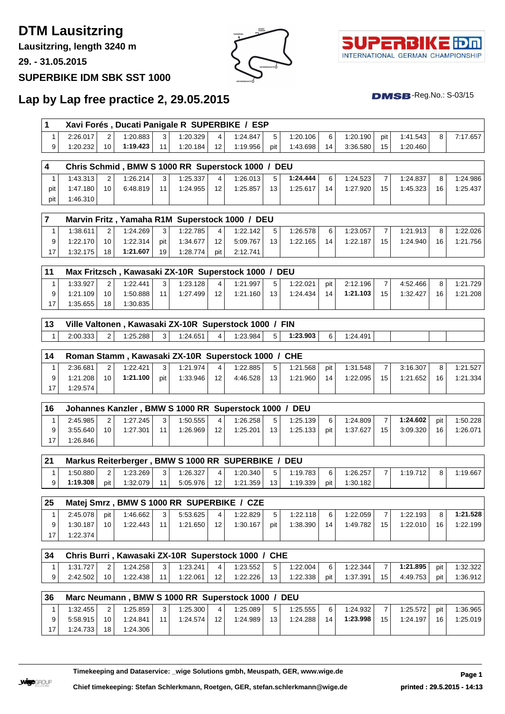# **DTM Lausitzring**

**Lausitzring, length 3240 m**

**29. - 31.05.2015**

### **SUPERBIKE IDM SBK SST 1000**





 $DMSB$ -Reg.No.:  $S-03/15$ 

## **Lap by Lap free practice 2, 29.05.2015**

|          |                |          |     |          |                   | Xavi Forés, Ducati Panigale R SUPERBIKE / ESP |     |                                                |                                                                                                                                                                   |          |                |          |    |          |
|----------|----------------|----------|-----|----------|-------------------|-----------------------------------------------|-----|------------------------------------------------|-------------------------------------------------------------------------------------------------------------------------------------------------------------------|----------|----------------|----------|----|----------|
| 2:26.017 | 2              | 1:20.883 | 3   | 1:20.329 | 4                 | 1:24.847                                      | 5   | 1:20.106                                       | 6                                                                                                                                                                 | 1:20.190 | pit            | 1:41.543 | 8  | 7:17.657 |
| 1:20.232 | 10             | 1:19.423 | 11  | 1:20.184 | $12 \overline{ }$ | 1:19.956                                      | pit | 1:43.698                                       | 14                                                                                                                                                                | 3:36.580 | 15             | 1:20.460 |    |          |
|          |                |          |     |          |                   |                                               |     |                                                |                                                                                                                                                                   |          |                |          |    |          |
| 1:43.313 | $\overline{2}$ | 1:26.214 | 3   | 1:25.337 | $\overline{4}$    | 1:26.013                                      | 5   | 1:24.444                                       | 6                                                                                                                                                                 | 1:24.523 | $\overline{7}$ | 1:24.837 | 8  | 1:24.986 |
| 1:47.180 | 10             | 6:48.819 | 11  | 1:24.955 | 12                | 1:25.857                                      | 13  | 1:25.617                                       | 14                                                                                                                                                                | 1:27.920 | 15             | 1:45.323 | 16 | 1:25.437 |
| 1:46.310 |                |          |     |          |                   |                                               |     |                                                |                                                                                                                                                                   |          |                |          |    |          |
|          |                |          |     |          |                   |                                               |     |                                                |                                                                                                                                                                   |          |                |          |    |          |
|          |                |          |     |          |                   |                                               |     |                                                |                                                                                                                                                                   |          |                |          |    |          |
| 1:38.611 | $\overline{2}$ | 1:24.269 | 3   | 1:22.785 | 4                 | 1:22.142                                      | 5   | 1:26.578                                       | 6                                                                                                                                                                 | 1:23.057 | $\overline{7}$ | 1:21.913 | 8  | 1:22.026 |
| 1:22.170 | 10             | 1:22.314 | pit | 1:34.677 | $12 \overline{ }$ | 5:09.767                                      | 13  | 1:22.165                                       | 14                                                                                                                                                                | 1:22.187 | 15             | 1:24.940 | 16 | 1:21.756 |
| 1:32.175 | 18             | 1:21.607 | 19  | 1:28.774 | pit               | 2:12.741                                      |     |                                                |                                                                                                                                                                   |          |                |          |    |          |
|          |                |          |     |          |                   |                                               |     |                                                |                                                                                                                                                                   |          |                |          |    |          |
| 1:33.927 | $\overline{2}$ | 1:22.441 | 3   | 1:23.128 | $\overline{4}$    | 1:21.997                                      | 5   | 1:22.021                                       | pit                                                                                                                                                               | 2:12.196 | $\overline{7}$ | 4:52.466 | 8  | 1:21.729 |
| 1:21.109 | 10             | 1:50.888 | 11  | 1:27.499 | 12                | 1:21.160                                      | 13  | 1:24.434                                       | 14                                                                                                                                                                | 1:21.103 | 15             | 1:32.427 | 16 | 1:21.208 |
| 1:35.655 | 18             | 1:30.835 |     |          |                   |                                               |     |                                                |                                                                                                                                                                   |          |                |          |    |          |
|          |                |          |     |          |                   |                                               |     |                                                |                                                                                                                                                                   |          |                |          |    |          |
| 2:00.333 | 2              | 1:25.288 | 3   | 1:24.651 | $\overline{4}$    | 1:23.984                                      | 5   | 1:23.903                                       | 6                                                                                                                                                                 | 1:24.491 |                |          |    |          |
|          |                |          |     |          |                   |                                               |     | Marvin Fritz, Yamaha R1M Superstock 1000 / DEU | Chris Schmid, BMW S 1000 RR Superstock 1000 / DEU<br>Max Fritzsch, Kawasaki ZX-10R Superstock 1000 / DEU<br>Ville Valtonen, Kawasaki ZX-10R Superstock 1000 / FIN |          |                |          |    |          |

| 14 |          |    |          |              | Roman Stamm, Kawasaki ZX-10R Superstock 1000 / CHE |                 |          |                 |          |     |          |    |          |    |          |
|----|----------|----|----------|--------------|----------------------------------------------------|-----------------|----------|-----------------|----------|-----|----------|----|----------|----|----------|
|    | 2:36.681 |    | 1:22.421 | $\mathbf{3}$ | 1:21.974                                           | 4               | 1:22.885 | 5               | 1:21.568 | pit | 1:31.548 |    | 3:16.307 | 8  | 1:21.527 |
| 9  | 1:21.208 | 10 | 1:21.100 | pit          | 1:33.946                                           | 12 <sup>1</sup> | 4:46.528 | 13 <sub>1</sub> | 1:21.960 | 14  | 1:22.095 | 15 | 1:21.652 | 16 | 1:21.334 |
| ៱  | 1:29.574 |    |          |              |                                                    |                 |          |                 |          |     |          |    |          |    |          |

| 16 |          |    |          |                 | Johannes Kanzler, BMW S 1000 RR Superstock 1000 / DEU |                 |          |                 |          |     |          |    |          |     |          |
|----|----------|----|----------|-----------------|-------------------------------------------------------|-----------------|----------|-----------------|----------|-----|----------|----|----------|-----|----------|
|    | 2:45.985 | ົ  | 1:27.245 | $\mathbf{r}$    | 1:50.555                                              | 4               | 1:26.258 |                 | 1:25.139 | 6   | 1:24.809 |    | 1:24.602 | pit | 1:50.228 |
|    | 3:55.640 | 10 | 1:27.301 | 11 <sub>1</sub> | 1:26.969                                              | 12 <sup>1</sup> | 1:25.201 | 13 <sup>1</sup> | 1:25.133 | pit | 1:37.627 | 15 | 3:09.320 | 16  | 1:26.071 |
|    | 1:26.846 |    |          |                 |                                                       |                 |          |                 |          |     |          |    |          |     |          |

| 21 |          |     |          |        | Markus Reiterberger, BMW S 1000 RR SUPERBIKE / DEU |                 |          |                 |          |     |          |          |          |
|----|----------|-----|----------|--------|----------------------------------------------------|-----------------|----------|-----------------|----------|-----|----------|----------|----------|
|    | 1:50.880 |     | 1:23.269 | $\sim$ | 1:26.327                                           | $\vert$         | 1:20.340 |                 | 1:19.783 | 6   | 1:26.257 | 1:19.712 | 1:19.667 |
|    | 1:19.308 | pit | 1:32.079 |        | 5:05.976                                           | 12 <sup>1</sup> | 1:21.359 | 13 <sub>1</sub> | 1:19.339 | pit | 1:30.182 |          |          |

| 25 |          |     |          |                |          |        | Matej Smrz, BMW S 1000 RR SUPERBIKE / CZE |     |          |    |          |    |          |    |          |
|----|----------|-----|----------|----------------|----------|--------|-------------------------------------------|-----|----------|----|----------|----|----------|----|----------|
|    | 2:45.078 | pit | 1:46.662 | 3 <sup>1</sup> | 5:53.625 | $\sim$ | 1:22.829                                  |     | 1:22.118 | 6  | 1:22.059 |    | 1:22.193 | 8  | 1:21.528 |
|    | 1:30.187 | 10  | 1:22.443 | $-11.$         | 1:21.650 | 12     | 1:30.167                                  | pit | 1:38.390 | 14 | 1:49.782 | 15 | 1:22.010 | 16 | 1:22.199 |
|    | 1:22.374 |     |          |                |          |        |                                           |     |          |    |          |    |          |    |          |

| 34 |          |                 |          |                 |          |                 | Chris Burri, Kawasaki ZX-10R Superstock 1000 / CHE |                 |          |       |          |                 |          |       |          |
|----|----------|-----------------|----------|-----------------|----------|-----------------|----------------------------------------------------|-----------------|----------|-------|----------|-----------------|----------|-------|----------|
|    | 1:31.727 | 2 <sup>1</sup>  | 1:24.258 | 3               | 1:23.241 | $\vert$ 4       | 1:23.552                                           | 5 <sup>1</sup>  | 1:22.004 | 6     | 1:22.344 |                 | 1:21.895 | pit l | 1:32.322 |
|    | 2:42.502 | 10 <sup>1</sup> | 1:22.438 | 11 <sup>1</sup> | 1:22.061 | 12 <sup>1</sup> | 1:22.226                                           | 13 <sup>1</sup> | 1:22.338 | pit l | 1:37.391 | 15 <sup>1</sup> | 4:49.753 | pit l | 1:36.912 |

| 36 |          |                 |          |                |          |         | Marc Neumann, BMW S 1000 RR Superstock 1000 / DEU |                 |          |    |          |    |          |     |          |
|----|----------|-----------------|----------|----------------|----------|---------|---------------------------------------------------|-----------------|----------|----|----------|----|----------|-----|----------|
|    | 1:32.455 | ົ               | 1:25.859 | 3 <sub>1</sub> | 1:25.300 | $\vert$ | 1:25.089                                          |                 | 1:25.555 | 6  | 1:24.932 | ⇁  | 1:25.572 | pit | 1:36.965 |
| 9  | 5:58.915 | 10 <sup>1</sup> | 1:24.841 | 11             | 1:24.574 | 12      | 1:24.989                                          | 13 <sub>1</sub> | 1:24.288 | 14 | 1:23.998 | 15 | 1:24.197 | 16  | 1:25.019 |
| 17 | 1:24.733 | 18 <sup>1</sup> | 1:24.306 |                |          |         |                                                   |                 |          |    |          |    |          |     |          |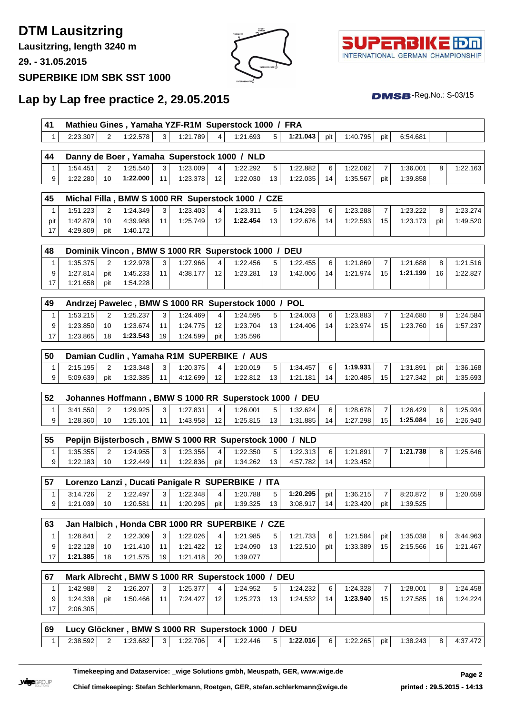### **DTM Lausitzring**

**Lausitzring, length 3240 m**

**29. - 31.05.2015**

#### **SUPERBIKE IDM SBK SST 1000**





 $DMSB$ -Reg.No.:  $S-03/15$ 

#### **Lap by Lap free practice 2, 29.05.2015**

| 41 | Mathieu Gines, Yamaha YZF-R1M Superstock 1000 / FRA |            |                |          |           |  |                       |       |          |     |          |  |
|----|-----------------------------------------------------|------------|----------------|----------|-----------|--|-----------------------|-------|----------|-----|----------|--|
|    | 2:23.307                                            | 2 1:22.578 | 3 <sup>1</sup> | 1:21.789 | $\vert$ 4 |  | $1:21.693$ 5 1:21.043 | pit l | 1:40.795 | pit | 6:54.681 |  |

| 44 |          |          |    |          |                 | Danny de Boer, Yamaha Superstock 1000 / NLD |    |          |    |          |       |          |          |
|----|----------|----------|----|----------|-----------------|---------------------------------------------|----|----------|----|----------|-------|----------|----------|
|    | 1:54.451 | 1:25.540 | 3  | 1:23.009 |                 | 1:22.292                                    |    | 1:22.882 | 6  | 1:22.082 |       | 1:36.001 | 1:22.163 |
|    | 1:22.280 | 1:22.000 | 11 | 1:23.378 | 12 <sub>1</sub> | 1:22.030                                    | 13 | 1:22.035 | 14 | 1:35.567 | pit l | 1:39.858 |          |

| 45  |          |     |          |    | Michal Filla, BMW S 1000 RR Superstock 1000 / CZE |                 |              |    |          |    |          |    |          |     |          |
|-----|----------|-----|----------|----|---------------------------------------------------|-----------------|--------------|----|----------|----|----------|----|----------|-----|----------|
|     | 1:51.223 |     | 1:24.349 | 3  | 1:23.403                                          | $\overline{4}$  | $1:23.311 +$ |    | 1:24.293 | 6  | 1:23.288 |    | 1:23.222 |     | 1:23.274 |
| pit | 1:42.879 | 10  | 4:39.988 | 11 | 1:25.749                                          | 12 <sub>1</sub> | 1:22.454     | 13 | 1:22.676 | 14 | 1:22.593 | 15 | 1:23.173 | pit | 1:49.520 |
|     | 4:29.809 | pit | 1:40.172 |    |                                                   |                 |              |    |          |    |          |    |          |     |          |

| 48 |          |                |          |                |          |                 | Dominik Vincon, BMW S 1000 RR Superstock 1000 / DEU |                |          |    |          |                 |          |                |          |
|----|----------|----------------|----------|----------------|----------|-----------------|-----------------------------------------------------|----------------|----------|----|----------|-----------------|----------|----------------|----------|
|    | 1:35.375 | 2 <sup>1</sup> | 1:22.978 | 3 <sup>1</sup> | 1:27.966 | $4 \mid$        | 1:22.456                                            | 5 <sup>1</sup> | 1:22.455 | 6  | 1:21.869 |                 | 1:21.688 | 8 <sup>1</sup> | 1:21.516 |
|    | 1:27.814 | pit l          | 1:45.233 | 11             | 4:38.177 | 12 <sup>1</sup> | 1:23.281                                            | 13             | 1:42.006 | 14 | 1:21.974 | 15 <sup>1</sup> | 1:21.199 | 16             | 1:22.827 |
|    | 1:21.658 | pit l          | 1:54.228 |                |          |                 |                                                     |                |          |    |          |                 |          |                |          |

| 49 |          |                 |          |                 |          |                 | Andrzej Pawelec, BMW S 1000 RR Superstock 1000 / POL |    |          |    |          |    |          |    |          |
|----|----------|-----------------|----------|-----------------|----------|-----------------|------------------------------------------------------|----|----------|----|----------|----|----------|----|----------|
|    | 1:53.215 |                 | 1:25.237 | 3 <sup>1</sup>  | 1:24.469 | $\vert$         | 1:24.595                                             |    | 1:24.003 | 6  | 1:23.883 |    | 1:24.680 | 8  | 1:24.584 |
|    | 1:23.850 | 10 <sup>1</sup> | 1:23.674 | 11 <sub>1</sub> | 1:24.775 | 12 <sup>1</sup> | 1:23.704                                             | 13 | 1:24.406 | 14 | 1:23.974 | 15 | 1:23.760 | 16 | 1:57.237 |
| 17 | 1:23.865 | 18 <sup>1</sup> | 1:23.543 | 19              | 1:24.599 | pit             | 1:35.596                                             |    |          |    |          |    |          |    |          |

| 50 | Damian Cudlin, Yamaha R1M SUPERBIKE / AUS |     |          |              |          |    |          |    |          |    |          |                 |          |     |          |
|----|-------------------------------------------|-----|----------|--------------|----------|----|----------|----|----------|----|----------|-----------------|----------|-----|----------|
|    | 2:15.195                                  |     | 1:23.348 | $\mathbf{r}$ | 1:20.375 | 4  | 1:20.019 |    | 1:34.457 | 6  | 1:19.931 |                 | 1:31.891 | pit | 1:36.168 |
| n. | 5:09.639                                  | pit | 1:32.385 | 11           | 4:12.699 | 12 | 1:22.812 | 13 | 1:21.181 | 14 | 1:20.485 | 15 <sub>1</sub> | 1:27.342 | pit | 1:35.693 |

| 52 | BMW S 1000 RR Superstock 1000 / DEU<br>Johannes Hoffmann. |    |          |                |          |              |          |    |          |    |          |                 |          |    |          |
|----|-----------------------------------------------------------|----|----------|----------------|----------|--------------|----------|----|----------|----|----------|-----------------|----------|----|----------|
|    | 3:41.550                                                  |    | 1:29.925 | 3 <sub>1</sub> | 1:27.831 | $\mathbf{A}$ | 1:26.001 | Б. | 1:32.624 | 6  | 1:28.678 |                 | 1:26.429 | R  | 1:25.934 |
|    | 1:28.360                                                  | 10 | 1:25.101 | 11             | 1:43.958 | 12           | 1:25.815 | 13 | 1:31.885 | 14 | 1:27.298 | 15 <sub>1</sub> | 1:25.084 | 16 | 1:26.940 |

| 55 | Pepijn Bijsterbosch, BMW S 1000 RR Superstock 1000 / NLD |                |          |          |          |              |              |                 |          |    |          |  |          |  |          |
|----|----------------------------------------------------------|----------------|----------|----------|----------|--------------|--------------|-----------------|----------|----|----------|--|----------|--|----------|
|    | 1:35.355                                                 | $\overline{2}$ | 1:24.955 | $\Omega$ | 1:23.356 | $\mathbf{A}$ | 1:22.350     |                 | 1:22.313 | 6  | 1:21.891 |  | 1:21.738 |  | 1:25.646 |
| n. | 1:22.183                                                 | 10             | 1:22.449 | 11       | 1:22.836 | pit          | $1:34.262$ I | 13 <sub>1</sub> | 4:57.782 | 14 | 1:23.452 |  |          |  |          |

| Lorenzo Lanzi, Ducati Panigale R SUPERBIKE / ITA |  |          |    |          |     |          |  |          |     |          |       |          |  |          |
|--------------------------------------------------|--|----------|----|----------|-----|----------|--|----------|-----|----------|-------|----------|--|----------|
| 3:14.726                                         |  | 1:22.497 | ີ  | 1:22.348 |     | 1:20.788 |  | 1:20.295 | pit | 1:36.215 |       | 8:20.872 |  | 1:20.659 |
| 1:21.039                                         |  | 1:20.581 | 11 | 1:20.295 | pit | 1:39.325 |  | 3:08.917 | 14  | 1:23.420 | pit l | 1:39.525 |  |          |

| 63 |          |                 |          |                 |          |                 | Jan Halbich, Honda CBR 1000 RR SUPERBIKE / CZE |                 |          |          |          |                 |          |    |          |
|----|----------|-----------------|----------|-----------------|----------|-----------------|------------------------------------------------|-----------------|----------|----------|----------|-----------------|----------|----|----------|
|    | 1:28.841 | $\mathcal{D}$   | 1:22.309 | 3               | 1:22.026 | $\vert$ 4       | 1:21.985                                       | 5 <sup>1</sup>  | 1:21.733 | $6 \mid$ | 1:21.584 | pit l           | 1:35.038 | 8  | 3:44.963 |
|    | 1:22.128 | 10 <sup>1</sup> | 1:21.410 | 11 <sup>1</sup> | 1:21.422 | 12 <sup>1</sup> | 1:24.090                                       | 13 <sup>1</sup> | 1:22.510 | pit l    | 1:33.389 | 15 <sup>1</sup> | 2:15.566 | 16 | 1:21.467 |
| 17 | 1:21.385 | 18              | 1:21.575 | 19 <sup>1</sup> | 1:21.418 | 20              | 1:39.077                                       |                 |          |          |          |                 |          |    |          |

| l 67 | Mark Albrecht, BMW S 1000 RR Superstock 1000 / DEU |     |          |                |          |    |          |    |          |    |          |    |          |    |          |
|------|----------------------------------------------------|-----|----------|----------------|----------|----|----------|----|----------|----|----------|----|----------|----|----------|
|      | 1:42.988                                           |     | 1:26.207 | 3 <sup>1</sup> | 1:25.377 |    | 1:24.952 |    | 1:24.232 | 6  | 1:24.328 |    | 1:28.001 | 8  | 1:24.458 |
|      | 1:24.338                                           | pit | 1:50.466 | 11             | 7:24.427 | 12 | 1:25.273 | 13 | 1:24.532 | 14 | 1:23.940 | 15 | 1:27.585 | 16 | 1:24.224 |
|      | 2:06.305                                           |     |          |                |          |    |          |    |          |    |          |    |          |    |          |

#### **Lucy Glöckner , BMW S 1000 RR Superstock 1000 / DEU** 2:38.592 2 1:23.682 3 1:22.706 4 1:22.446 5 **1:22.016** 6 1:22.265 pit 1:38.243 8 4:37.472

**Timekeeping and Dataservice: \_wige Solutions gmbh, Meuspath, GER, www.wige.de Page 2**